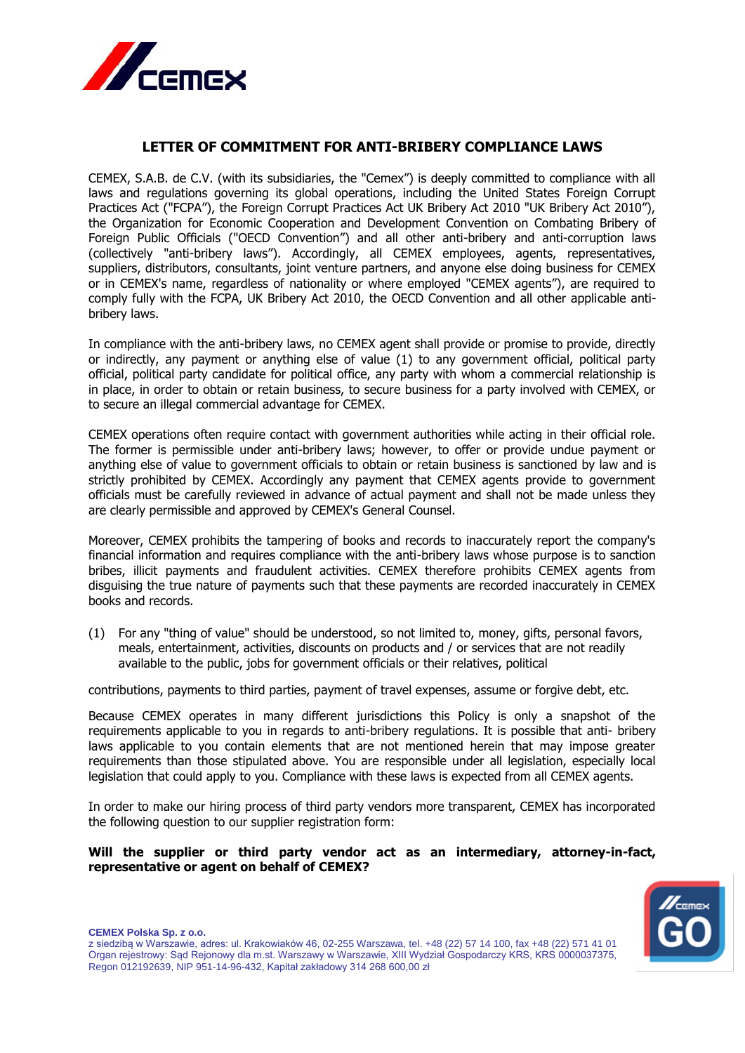

## **LETTER OF COMMITMENT FOR ANTI-BRIBERY COMPLIANCE LAWS**

CEMEX, S.A.B. de C.V. (with its subsidiaries, the "Cemex") is deeply committed to compliance with all laws and regulations governing its global operations, including the United States Foreign Corrupt Practices Act ("FCPA"), the Foreign Corrupt Practices Act UK Bribery Act 2010 "UK Bribery Act 2010"), the Organization for Economic Cooperation and Development Convention on Combating Bribery of Foreign Public Officials ("OECD Convention") and all other anti-bribery and anti-corruption laws (collectively "anti-bribery laws"). Accordingly, all CEMEX employees, agents, representatives, suppliers, distributors, consultants, joint venture partners, and anyone else doing business for CEMEX or in CEMEX's name, regardless of nationality or where employed "CEMEX agents"), are required to comply fully with the FCPA, UK Bribery Act 2010, the OECD Convention and all other applicable antibribery laws.

In compliance with the anti-bribery laws, no CEMEX agent shall provide or promise to provide, directly or indirectly, any payment or anything else of value (1) to any government official, political party official, political party candidate for political office, any party with whom a commercial relationship is in place, in order to obtain or retain business, to secure business for a party involved with CEMEX, or to secure an illegal commercial advantage for CEMEX.

CEMEX operations often require contact with government authorities while acting in their official role. The former is permissible under anti-bribery laws; however, to offer or provide undue payment or anything else of value to government officials to obtain or retain business is sanctioned by law and is strictly prohibited by CEMEX. Accordingly any payment that CEMEX agents provide to government officials must be carefully reviewed in advance of actual payment and shall not be made unless they are clearly permissible and approved by CEMEX's General Counsel.

Moreover, CEMEX prohibits the tampering of books and records to inaccurately report the company's financial information and requires compliance with the anti-bribery laws whose purpose is to sanction bribes, illicit payments and fraudulent activities. CEMEX therefore prohibits CEMEX agents from disguising the true nature of payments such that these payments are recorded inaccurately in CEMEX books and records.

(1) For any "thing of value" should be understood, so not limited to, money, gifts, personal favors, meals, entertainment, activities, discounts on products and / or services that are not readily available to the public, jobs for government officials or their relatives, political

contributions, payments to third parties, payment of travel expenses, assume or forgive debt, etc.

Because CEMEX operates in many different jurisdictions this Policy is only a snapshot of the requirements applicable to you in regards to anti-bribery regulations. It is possible that anti- bribery laws applicable to you contain elements that are not mentioned herein that may impose greater requirements than those stipulated above. You are responsible under all legislation, especially local legislation that could apply to you. Compliance with these laws is expected from all CEMEX agents.

In order to make our hiring process of third party vendors more transparent, CEMEX has incorporated the following question to our supplier registration form:

## **Will the supplier or third party vendor act as an intermediary, attorney-in-fact, representative or agent on behalf of CEMEX?**



**CEMEX Polska Sp. z o.o.**